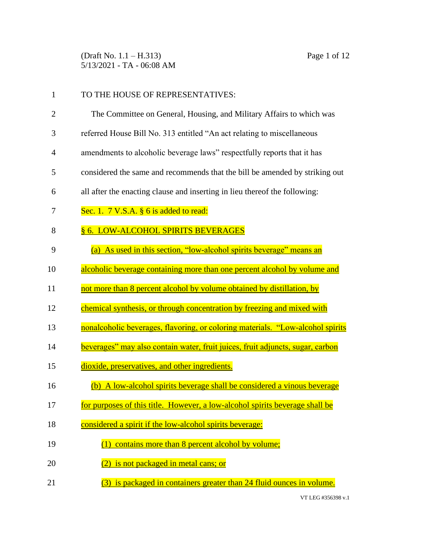(Draft No. 1.1 – H.313) Page 1 of 12 5/13/2021 - TA - 06:08 AM

| $\mathbf{1}$   | TO THE HOUSE OF REPRESENTATIVES:                                               |
|----------------|--------------------------------------------------------------------------------|
| $\overline{2}$ | The Committee on General, Housing, and Military Affairs to which was           |
| 3              | referred House Bill No. 313 entitled "An act relating to miscellaneous         |
| 4              | amendments to alcoholic beverage laws" respectfully reports that it has        |
| 5              | considered the same and recommends that the bill be amended by striking out    |
| 6              | all after the enacting clause and inserting in lieu thereof the following:     |
| 7              | Sec. 1. $7 \text{ V.S.A. }$ § 6 is added to read:                              |
| 8              | § 6. LOW-ALCOHOL SPIRITS BEVERAGES                                             |
| 9              | (a) As used in this section, "low-alcohol spirits beverage" means an           |
| 10             | alcoholic beverage containing more than one percent alcohol by volume and      |
| 11             | not more than 8 percent alcohol by volume obtained by distillation, by         |
| 12             | chemical synthesis, or through concentration by freezing and mixed with        |
| 13             | nonalcoholic beverages, flavoring, or coloring materials. "Low-alcohol spirits |
| 14             | beverages" may also contain water, fruit juices, fruit adjuncts, sugar, carbon |
| 15             | dioxide, preservatives, and other ingredients.                                 |
| 16             | (b) A low-alcohol spirits beverage shall be considered a vinous beverage       |
| 17             | for purposes of this title. However, a low-alcohol spirits beverage shall be   |
| 18             | considered a spirit if the low-alcohol spirits beverage:                       |
| 19             | (1) contains more than 8 percent alcohol by volume;                            |
| 20             | (2) is not packaged in metal cans; or                                          |
| 21             | (3) is packaged in containers greater than 24 fluid ounces in volume.          |
|                |                                                                                |

VT LEG #356398 v.1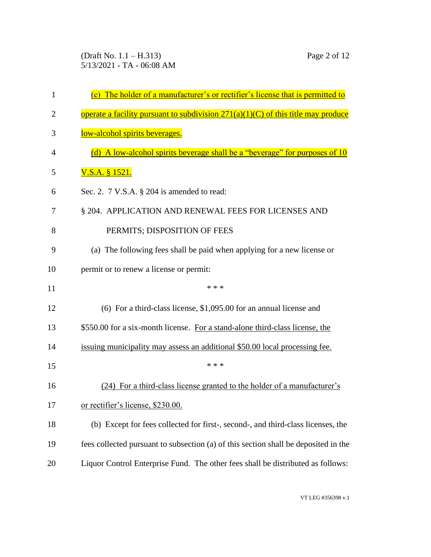(Draft No. 1.1 – H.313) Page 2 of 12 5/13/2021 - TA - 06:08 AM

| 1  | (c) The holder of a manufacturer's or rectifier's license that is permitted to      |
|----|-------------------------------------------------------------------------------------|
| 2  | operate a facility pursuant to subdivision $271(a)(1)(C)$ of this title may produce |
| 3  | low-alcohol spirits beverages.                                                      |
| 4  | (d) A low-alcohol spirits beverage shall be a "beverage" for purposes of 10         |
| 5  | <u>V.S.A. § 1521.</u>                                                               |
| 6  | Sec. 2. 7 V.S.A. § 204 is amended to read:                                          |
| 7  | § 204. APPLICATION AND RENEWAL FEES FOR LICENSES AND                                |
| 8  | PERMITS; DISPOSITION OF FEES                                                        |
| 9  | (a) The following fees shall be paid when applying for a new license or             |
| 10 | permit or to renew a license or permit:                                             |
| 11 | * * *                                                                               |
| 12 | $(6)$ For a third-class license, \$1,095.00 for an annual license and               |
| 13 | \$550.00 for a six-month license. For a stand-alone third-class license, the        |
| 14 | issuing municipality may assess an additional \$50.00 local processing fee.         |
| 15 | * * *                                                                               |
| 16 | (24) For a third-class license granted to the holder of a manufacturer's            |
| 17 | or rectifier's license, \$230.00.                                                   |
| 18 | (b) Except for fees collected for first-, second-, and third-class licenses, the    |
| 19 | fees collected pursuant to subsection (a) of this section shall be deposited in the |
| 20 | Liquor Control Enterprise Fund. The other fees shall be distributed as follows:     |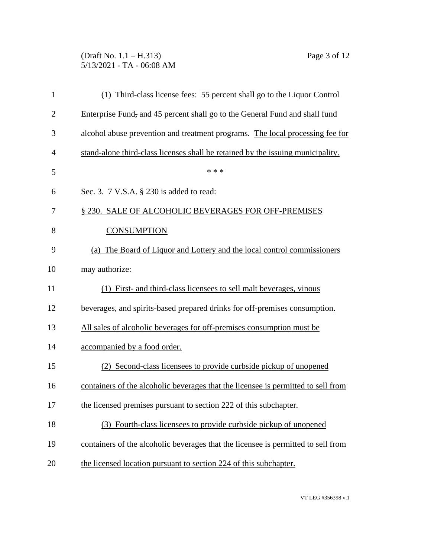#### (Draft No. 1.1 – H.313) Page 3 of 12 5/13/2021 - TA - 06:08 AM

| 1              | (1) Third-class license fees: 55 percent shall go to the Liquor Control           |
|----------------|-----------------------------------------------------------------------------------|
| $\overline{c}$ | Enterprise Fund, and 45 percent shall go to the General Fund and shall fund       |
| 3              | alcohol abuse prevention and treatment programs. The local processing fee for     |
| 4              | stand-alone third-class licenses shall be retained by the issuing municipality.   |
| 5              | * * *                                                                             |
| 6              | Sec. 3. 7 V.S.A. § 230 is added to read:                                          |
| 7              | § 230. SALE OF ALCOHOLIC BEVERAGES FOR OFF-PREMISES                               |
| 8              | <b>CONSUMPTION</b>                                                                |
| 9              | (a) The Board of Liquor and Lottery and the local control commissioners           |
| 10             | may authorize:                                                                    |
| 11             | (1) First- and third-class licensees to sell malt beverages, vinous               |
| 12             | beverages, and spirits-based prepared drinks for off-premises consumption.        |
| 13             | All sales of alcoholic beverages for off-premises consumption must be             |
| 14             | accompanied by a food order.                                                      |
| 15             | (2) Second-class licensees to provide curbside pickup of unopened                 |
| 16             | containers of the alcoholic beverages that the licensee is permitted to sell from |
| 17             | the licensed premises pursuant to section 222 of this subchapter.                 |
| 18             | (3) Fourth-class licensees to provide curbside pickup of unopened                 |
| 19             | containers of the alcoholic beverages that the licensee is permitted to sell from |
| 20             | the licensed location pursuant to section 224 of this subchapter.                 |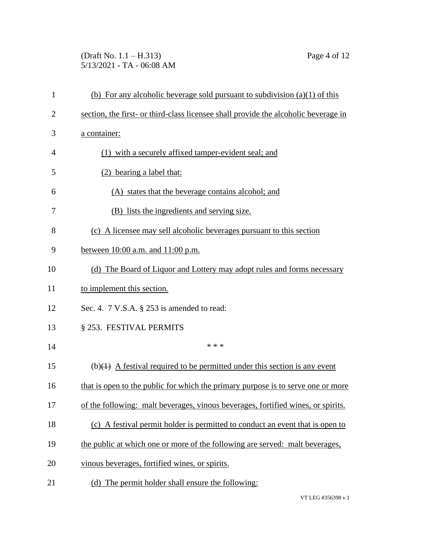## (Draft No. 1.1 – H.313) Page 4 of 12 5/13/2021 - TA - 06:08 AM

| $\mathbf{1}$   | (b) For any alcoholic beverage sold pursuant to subdivision $(a)(1)$ of this              |
|----------------|-------------------------------------------------------------------------------------------|
| $\overline{2}$ | section, the first- or third-class licensee shall provide the alcoholic beverage in       |
| 3              | a container:                                                                              |
| 4              | (1) with a securely affixed tamper-evident seal; and                                      |
| 5              | (2) bearing a label that:                                                                 |
| 6              | (A) states that the beverage contains alcohol; and                                        |
| 7              | (B) lists the ingredients and serving size.                                               |
| 8              | (c) A licensee may sell alcoholic beverages pursuant to this section                      |
| 9              | between 10:00 a.m. and 11:00 p.m.                                                         |
| 10             | (d) The Board of Liquor and Lottery may adopt rules and forms necessary                   |
| 11             | to implement this section.                                                                |
| 12             | Sec. 4. 7 V.S.A. § 253 is amended to read:                                                |
| 13             | § 253. FESTIVAL PERMITS                                                                   |
| 14             | * * *                                                                                     |
| 15             | (b) $\left( +\right)$ A festival required to be permitted under this section is any event |
| 16             | that is open to the public for which the primary purpose is to serve one or more          |
| 17             | of the following: malt beverages, vinous beverages, fortified wines, or spirits.          |
| 18             | (c) A festival permit holder is permitted to conduct an event that is open to             |
| 19             | the public at which one or more of the following are served: malt beverages,              |
| 20             | vinous beverages, fortified wines, or spirits.                                            |
| 21             | (d) The permit holder shall ensure the following:                                         |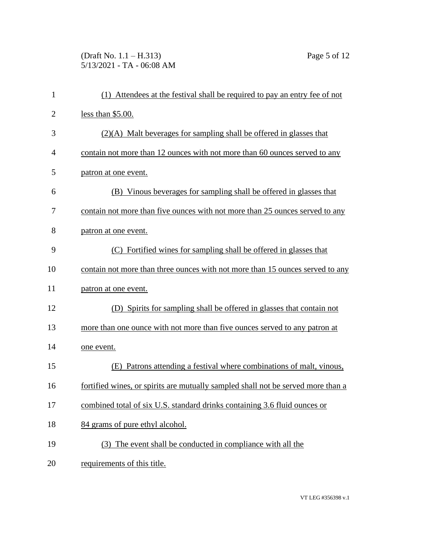# (Draft No. 1.1 – H.313) Page 5 of 12 5/13/2021 - TA - 06:08 AM

| $\mathbf{1}$   | (1) Attendees at the festival shall be required to pay an entry fee of not       |
|----------------|----------------------------------------------------------------------------------|
| $\overline{2}$ | less than $$5.00.$                                                               |
| 3              | $(2)(A)$ Malt beverages for sampling shall be offered in glasses that            |
| $\overline{4}$ | contain not more than 12 ounces with not more than 60 ounces served to any       |
| 5              | patron at one event.                                                             |
| 6              | (B) Vinous beverages for sampling shall be offered in glasses that               |
| 7              | contain not more than five ounces with not more than 25 ounces served to any     |
| 8              | patron at one event.                                                             |
| 9              | (C) Fortified wines for sampling shall be offered in glasses that                |
| 10             | contain not more than three ounces with not more than 15 ounces served to any    |
| 11             | patron at one event.                                                             |
| 12             | (D) Spirits for sampling shall be offered in glasses that contain not            |
| 13             | more than one ounce with not more than five ounces served to any patron at       |
| 14             | one event.                                                                       |
| 15             | (E) Patrons attending a festival where combinations of malt, vinous,             |
| 16             | fortified wines, or spirits are mutually sampled shall not be served more than a |
| 17             | combined total of six U.S. standard drinks containing 3.6 fluid ounces or        |
| 18             | 84 grams of pure ethyl alcohol.                                                  |
| 19             | (3) The event shall be conducted in compliance with all the                      |
| 20             | requirements of this title.                                                      |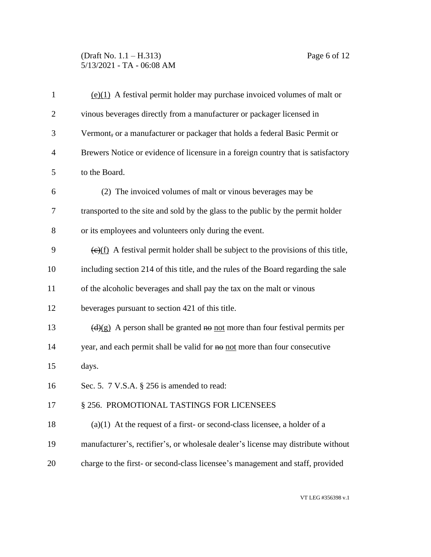### (Draft No. 1.1 – H.313) Page 6 of 12 5/13/2021 - TA - 06:08 AM

| $\mathbf{1}$   | $(e)(1)$ A festival permit holder may purchase invoiced volumes of malt or                      |
|----------------|-------------------------------------------------------------------------------------------------|
| $\overline{2}$ | vinous beverages directly from a manufacturer or packager licensed in                           |
| 3              | Vermont, or a manufacturer or packager that holds a federal Basic Permit or                     |
| $\overline{4}$ | Brewers Notice or evidence of licensure in a foreign country that is satisfactory               |
| 5              | to the Board.                                                                                   |
| 6              | (2) The invoiced volumes of malt or vinous beverages may be                                     |
| 7              | transported to the site and sold by the glass to the public by the permit holder                |
| 8              | or its employees and volunteers only during the event.                                          |
| 9              | $\overline{(e)(f)}$ A festival permit holder shall be subject to the provisions of this title,  |
| 10             | including section 214 of this title, and the rules of the Board regarding the sale              |
| 11             | of the alcoholic beverages and shall pay the tax on the malt or vinous                          |
| 12             | beverages pursuant to section 421 of this title.                                                |
| 13             | $\left(\frac{d}{g}\right)$ A person shall be granted no not more than four festival permits per |
| 14             | year, and each permit shall be valid for no not more than four consecutive                      |
| 15             | days.                                                                                           |
| 16             | Sec. 5. 7 V.S.A. § 256 is amended to read:                                                      |
| 17             | § 256. PROMOTIONAL TASTINGS FOR LICENSEES                                                       |
| 18             | $(a)(1)$ At the request of a first- or second-class licensee, a holder of a                     |
| 19             | manufacturer's, rectifier's, or wholesale dealer's license may distribute without               |
| 20             | charge to the first- or second-class licensee's management and staff, provided                  |
|                |                                                                                                 |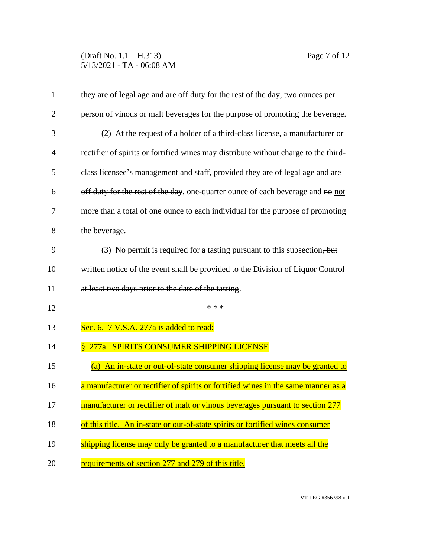### (Draft No. 1.1 – H.313) Page 7 of 12 5/13/2021 - TA - 06:08 AM

| $\mathbf{1}$   | they are of legal age and are off duty for the rest of the day, two ounces per      |
|----------------|-------------------------------------------------------------------------------------|
| $\overline{2}$ | person of vinous or malt beverages for the purpose of promoting the beverage.       |
| 3              | (2) At the request of a holder of a third-class license, a manufacturer or          |
| 4              | rectifier of spirits or fortified wines may distribute without charge to the third- |
| 5              | class licensee's management and staff, provided they are of legal age and are       |
| 6              | off duty for the rest of the day, one-quarter ounce of each beverage and no not     |
| 7              | more than a total of one ounce to each individual for the purpose of promoting      |
| 8              | the beverage.                                                                       |
| 9              | (3) No permit is required for a tasting pursuant to this subsection, but            |
| 10             | written notice of the event shall be provided to the Division of Liquor Control     |
| 11             | at least two days prior to the date of the tasting.                                 |
| 12             | * * *                                                                               |
| 13             | Sec. 6. 7 V.S.A. 277a is added to read:                                             |
| 14             | <u>§ 277a. SPIRITS CONSUMER SHIPPING LICENSE</u>                                    |
| 15             | (a) An in-state or out-of-state consumer shipping license may be granted to         |
| 16             | a manufacturer or rectifier of spirits or fortified wines in the same manner as a   |
| 17             | manufacturer or rectifier of malt or vinous beverages pursuant to section 277       |
| 18             | of this title. An in-state or out-of-state spirits or fortified wines consumer      |
| 19             | shipping license may only be granted to a manufacturer that meets all the           |
| 20             | requirements of section 277 and 279 of this title.                                  |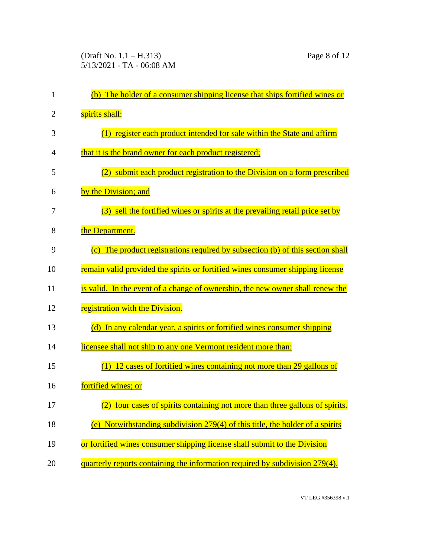| 1              | (b) The holder of a consumer shipping license that ships fortified wines or     |
|----------------|---------------------------------------------------------------------------------|
| $\overline{2}$ | spirits shall:                                                                  |
| 3              | (1) register each product intended for sale within the State and affirm         |
| 4              | that it is the brand owner for each product registered;                         |
| 5              | (2) submit each product registration to the Division on a form prescribed       |
| 6              | by the Division; and                                                            |
| 7              | (3) sell the fortified wines or spirits at the prevailing retail price set by   |
| 8              | the Department.                                                                 |
| 9              | (c) The product registrations required by subsection (b) of this section shall  |
| 10             | remain valid provided the spirits or fortified wines consumer shipping license  |
| 11             | is valid. In the event of a change of ownership, the new owner shall renew the  |
| 12             | registration with the Division.                                                 |
| 13             | (d) In any calendar year, a spirits or fortified wines consumer shipping        |
| 14             | licensee shall not ship to any one Vermont resident more than:                  |
| 15             | $(1)$ 12 cases of fortified wines containing not more than 29 gallons of        |
| 16             | fortified wines; or                                                             |
| 17             | (2) four cases of spirits containing not more than three gallons of spirits.    |
| 18             | (e) Notwithstanding subdivision $279(4)$ of this title, the holder of a spirits |
| 19             | or fortified wines consumer shipping license shall submit to the Division       |
| 20             | quarterly reports containing the information required by subdivision 279(4).    |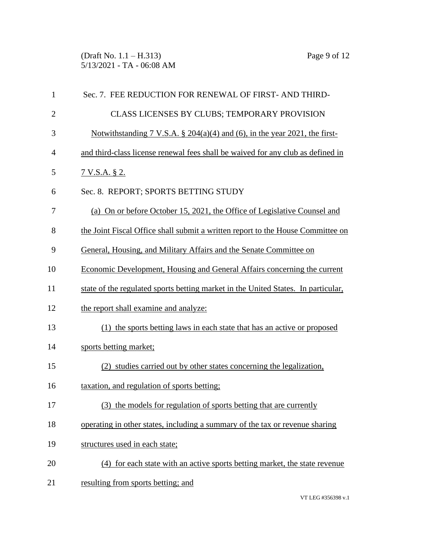(Draft No. 1.1 – H.313) Page 9 of 12 5/13/2021 - TA - 06:08 AM

| 1            | Sec. 7. FEE REDUCTION FOR RENEWAL OF FIRST-AND THIRD-                             |
|--------------|-----------------------------------------------------------------------------------|
| $\mathbf{2}$ | CLASS LICENSES BY CLUBS; TEMPORARY PROVISION                                      |
| 3            | Notwithstanding 7 V.S.A. $\S 204(a)(4)$ and (6), in the year 2021, the first-     |
| 4            | and third-class license renewal fees shall be waived for any club as defined in   |
| 5            | <u>7 V.S.A. § 2.</u>                                                              |
| 6            | Sec. 8. REPORT; SPORTS BETTING STUDY                                              |
| 7            | (a) On or before October 15, 2021, the Office of Legislative Counsel and          |
| 8            | the Joint Fiscal Office shall submit a written report to the House Committee on   |
| 9            | General, Housing, and Military Affairs and the Senate Committee on                |
| 10           | Economic Development, Housing and General Affairs concerning the current          |
| 11           | state of the regulated sports betting market in the United States. In particular, |
| 12           | the report shall examine and analyze:                                             |
| 13           | (1) the sports betting laws in each state that has an active or proposed          |
| 14           | sports betting market;                                                            |
| 15           | (2) studies carried out by other states concerning the legalization,              |
| 16           | taxation, and regulation of sports betting;                                       |
| 17           | (3) the models for regulation of sports betting that are currently                |
| 18           | operating in other states, including a summary of the tax or revenue sharing      |
| 19           | structures used in each state;                                                    |
| 20           | (4) for each state with an active sports betting market, the state revenue        |
| 21           | resulting from sports betting; and                                                |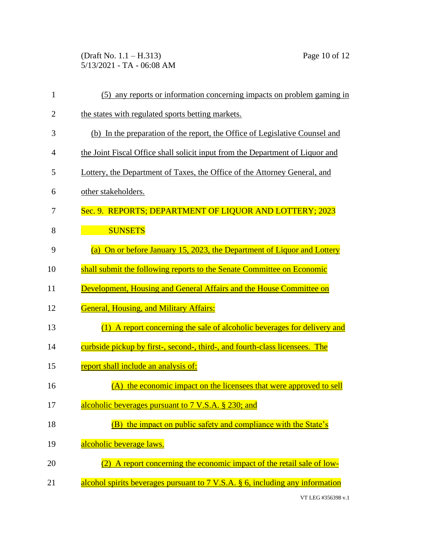(Draft No. 1.1 – H.313) Page 10 of 12 5/13/2021 - TA - 06:08 AM

| $\mathbf{1}$   | any reports or information concerning impacts on problem gaming in<br>(5)                 |
|----------------|-------------------------------------------------------------------------------------------|
| $\overline{2}$ | the states with regulated sports betting markets.                                         |
| 3              | (b) In the preparation of the report, the Office of Legislative Counsel and               |
| 4              | the Joint Fiscal Office shall solicit input from the Department of Liquor and             |
| 5              | Lottery, the Department of Taxes, the Office of the Attorney General, and                 |
| 6              | other stakeholders.                                                                       |
| 7              | Sec. 9. REPORTS; DEPARTMENT OF LIQUOR AND LOTTERY; 2023                                   |
| 8              | <b>SUNSETS</b>                                                                            |
| 9              | (a) On or before January 15, 2023, the Department of Liquor and Lottery                   |
| 10             | shall submit the following reports to the Senate Committee on Economic                    |
| 11             | Development, Housing and General Affairs and the House Committee on                       |
| 12             | <b>General, Housing, and Military Affairs:</b>                                            |
| 13             | (1) A report concerning the sale of alcoholic beverages for delivery and                  |
| 14             | curbside pickup by first-, second-, third-, and fourth-class licensees. The               |
| 15             | report shall include an analysis of:                                                      |
| 16             | the economic impact on the licensees that were approved to sell<br>(A)                    |
| 17             | alcoholic beverages pursuant to 7 V.S.A. § 230; and                                       |
| 18             | the impact on public safety and compliance with the State's<br>(B)                        |
| 19             | alcoholic beverage laws.                                                                  |
| 20             | A report concerning the economic impact of the retail sale of low-                        |
| 21             | alcohol spirits beverages pursuant to $7 \text{ V.S.A. }$ \$ 6, including any information |

VT LEG #356398 v.1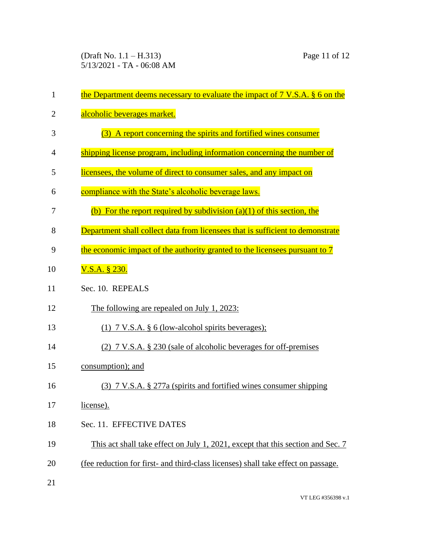(Draft No. 1.1 – H.313) Page 11 of 12 5/13/2021 - TA - 06:08 AM

| $\mathbf{1}$ | the Department deems necessary to evaluate the impact of $7 \text{ V.S.A. }$ $\frac{6}{9}$ on the |
|--------------|---------------------------------------------------------------------------------------------------|
| 2            | alcoholic beverages market.                                                                       |
| 3            | (3) A report concerning the spirits and fortified wines consumer                                  |
| 4            | shipping license program, including information concerning the number of                          |
| 5            | licensees, the volume of direct to consumer sales, and any impact on                              |
| 6            | compliance with the State's alcoholic beverage laws.                                              |
| 7            | (b) For the report required by subdivision $(a)(1)$ of this section, the                          |
| 8            | Department shall collect data from licensees that is sufficient to demonstrate                    |
| 9            | the economic impact of the authority granted to the licensees pursuant to 7                       |
| 10           | V.S.A. § 230.                                                                                     |
| 11           | Sec. 10. REPEALS                                                                                  |
| 12           | The following are repealed on July 1, 2023:                                                       |
| 13           | $(1)$ 7 V.S.A. § 6 (low-alcohol spirits beverages);                                               |
| 14           | (2) 7 V.S.A. § 230 (sale of alcoholic beverages for off-premises                                  |
| 15           | consumption); and                                                                                 |
| 16           | (3) 7 V.S.A. § 277a (spirits and fortified wines consumer shipping                                |
| 17           | license).                                                                                         |
| 18           | Sec. 11. EFFECTIVE DATES                                                                          |
| 19           | This act shall take effect on July 1, 2021, except that this section and Sec. 7                   |
| 20           | (fee reduction for first- and third-class licenses) shall take effect on passage.                 |
| 21           |                                                                                                   |